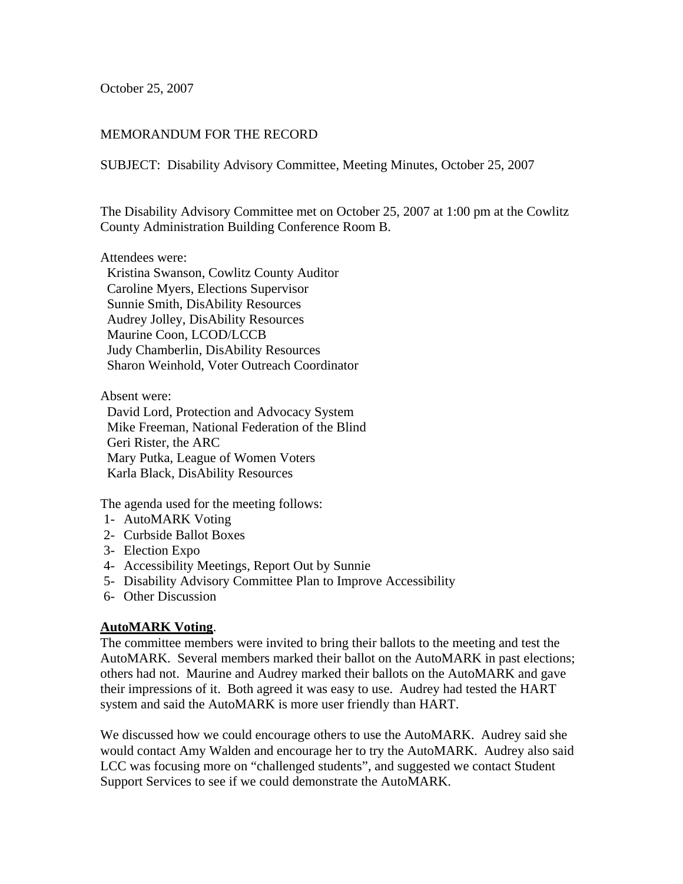October 25, 2007

#### MEMORANDUM FOR THE RECORD

SUBJECT: Disability Advisory Committee, Meeting Minutes, October 25, 2007

The Disability Advisory Committee met on October 25, 2007 at 1:00 pm at the Cowlitz County Administration Building Conference Room B.

#### Attendees were:

 Kristina Swanson, Cowlitz County Auditor Caroline Myers, Elections Supervisor Sunnie Smith, DisAbility Resources Audrey Jolley, DisAbility Resources Maurine Coon, LCOD/LCCB Judy Chamberlin, DisAbility Resources Sharon Weinhold, Voter Outreach Coordinator

Absent were:

 David Lord, Protection and Advocacy System Mike Freeman, National Federation of the Blind Geri Rister, the ARC Mary Putka, League of Women Voters Karla Black, DisAbility Resources

The agenda used for the meeting follows:

- 1- AutoMARK Voting
- 2- Curbside Ballot Boxes
- 3- Election Expo
- 4- Accessibility Meetings, Report Out by Sunnie
- 5- Disability Advisory Committee Plan to Improve Accessibility
- 6- Other Discussion

## **AutoMARK Voting**.

The committee members were invited to bring their ballots to the meeting and test the AutoMARK. Several members marked their ballot on the AutoMARK in past elections; others had not. Maurine and Audrey marked their ballots on the AutoMARK and gave their impressions of it. Both agreed it was easy to use. Audrey had tested the HART system and said the AutoMARK is more user friendly than HART.

We discussed how we could encourage others to use the AutoMARK. Audrey said she would contact Amy Walden and encourage her to try the AutoMARK. Audrey also said LCC was focusing more on "challenged students", and suggested we contact Student Support Services to see if we could demonstrate the AutoMARK.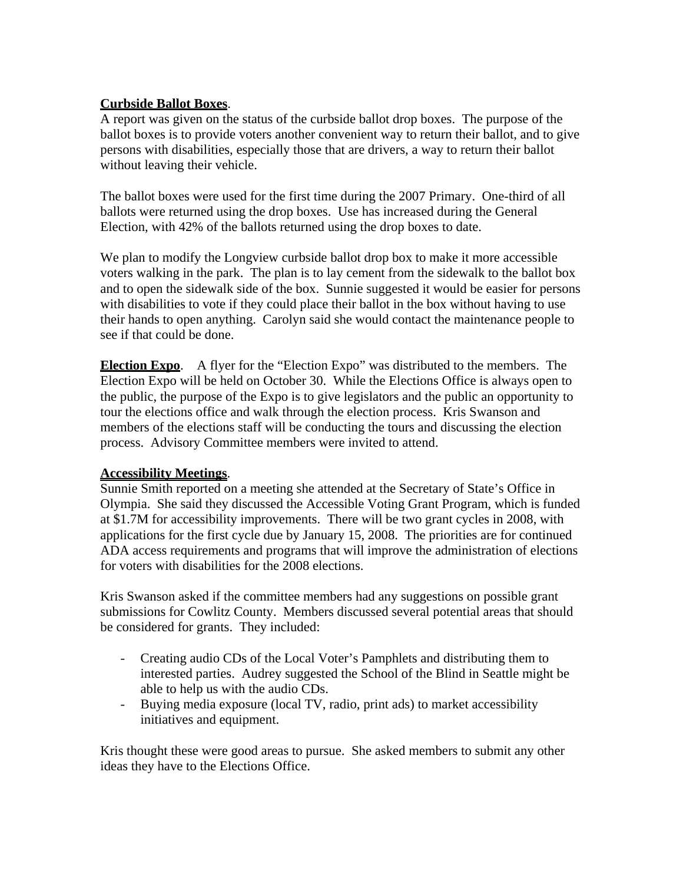## **Curbside Ballot Boxes**.

A report was given on the status of the curbside ballot drop boxes. The purpose of the ballot boxes is to provide voters another convenient way to return their ballot, and to give persons with disabilities, especially those that are drivers, a way to return their ballot without leaving their vehicle.

The ballot boxes were used for the first time during the 2007 Primary. One-third of all ballots were returned using the drop boxes. Use has increased during the General Election, with 42% of the ballots returned using the drop boxes to date.

We plan to modify the Longview curbside ballot drop box to make it more accessible voters walking in the park. The plan is to lay cement from the sidewalk to the ballot box and to open the sidewalk side of the box. Sunnie suggested it would be easier for persons with disabilities to vote if they could place their ballot in the box without having to use their hands to open anything. Carolyn said she would contact the maintenance people to see if that could be done.

**Election Expo**. A flyer for the "Election Expo" was distributed to the members. The Election Expo will be held on October 30. While the Elections Office is always open to the public, the purpose of the Expo is to give legislators and the public an opportunity to tour the elections office and walk through the election process. Kris Swanson and members of the elections staff will be conducting the tours and discussing the election process. Advisory Committee members were invited to attend.

# **Accessibility Meetings**.

Sunnie Smith reported on a meeting she attended at the Secretary of State's Office in Olympia. She said they discussed the Accessible Voting Grant Program, which is funded at \$1.7M for accessibility improvements. There will be two grant cycles in 2008, with applications for the first cycle due by January 15, 2008. The priorities are for continued ADA access requirements and programs that will improve the administration of elections for voters with disabilities for the 2008 elections.

Kris Swanson asked if the committee members had any suggestions on possible grant submissions for Cowlitz County. Members discussed several potential areas that should be considered for grants. They included:

- Creating audio CDs of the Local Voter's Pamphlets and distributing them to interested parties. Audrey suggested the School of the Blind in Seattle might be able to help us with the audio CDs.
- Buying media exposure (local TV, radio, print ads) to market accessibility initiatives and equipment.

Kris thought these were good areas to pursue. She asked members to submit any other ideas they have to the Elections Office.